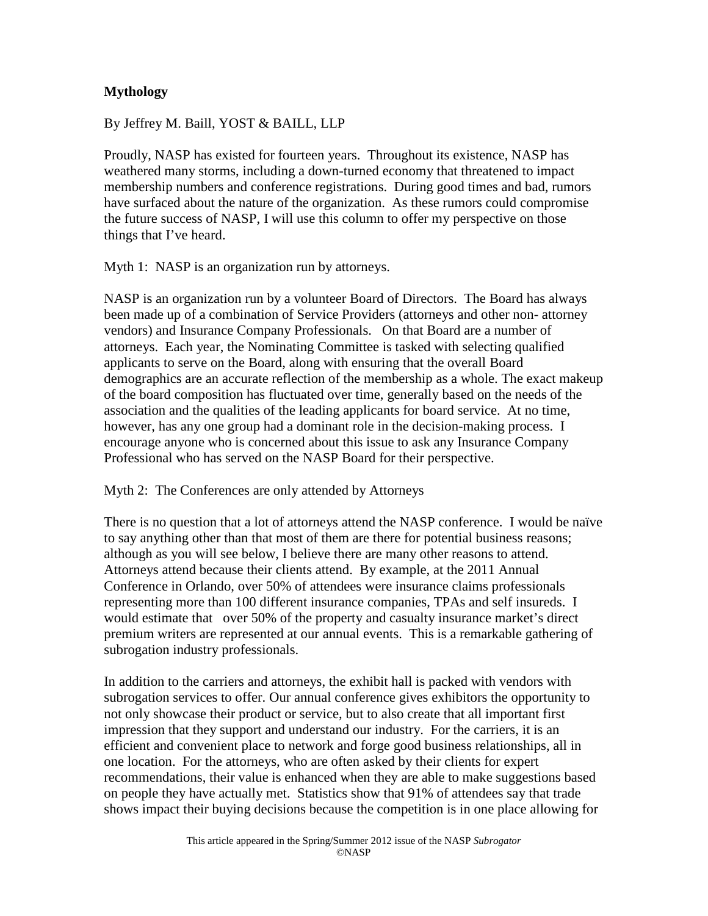## **Mythology**

By Jeffrey M. Baill, YOST & BAILL, LLP

Proudly, NASP has existed for fourteen years. Throughout its existence, NASP has weathered many storms, including a down-turned economy that threatened to impact membership numbers and conference registrations. During good times and bad, rumors have surfaced about the nature of the organization. As these rumors could compromise the future success of NASP, I will use this column to offer my perspective on those things that I've heard.

Myth 1: NASP is an organization run by attorneys.

NASP is an organization run by a volunteer Board of Directors. The Board has always been made up of a combination of Service Providers (attorneys and other non- attorney vendors) and Insurance Company Professionals. On that Board are a number of attorneys. Each year, the Nominating Committee is tasked with selecting qualified applicants to serve on the Board, along with ensuring that the overall Board demographics are an accurate reflection of the membership as a whole. The exact makeup of the board composition has fluctuated over time, generally based on the needs of the association and the qualities of the leading applicants for board service. At no time, however, has any one group had a dominant role in the decision-making process. I encourage anyone who is concerned about this issue to ask any Insurance Company Professional who has served on the NASP Board for their perspective.

Myth 2: The Conferences are only attended by Attorneys

There is no question that a lot of attorneys attend the NASP conference. I would be naïve to say anything other than that most of them are there for potential business reasons; although as you will see below, I believe there are many other reasons to attend. Attorneys attend because their clients attend. By example, at the 2011 Annual Conference in Orlando, over 50% of attendees were insurance claims professionals representing more than 100 different insurance companies, TPAs and self insureds. I would estimate that over 50% of the property and casualty insurance market's direct premium writers are represented at our annual events. This is a remarkable gathering of subrogation industry professionals.

In addition to the carriers and attorneys, the exhibit hall is packed with vendors with subrogation services to offer. Our annual conference gives exhibitors the opportunity to not only showcase their product or service, but to also create that all important first impression that they support and understand our industry. For the carriers, it is an efficient and convenient place to network and forge good business relationships, all in one location. For the attorneys, who are often asked by their clients for expert recommendations, their value is enhanced when they are able to make suggestions based on people they have actually met. Statistics show that 91% of attendees say that trade shows impact their buying decisions because the competition is in one place allowing for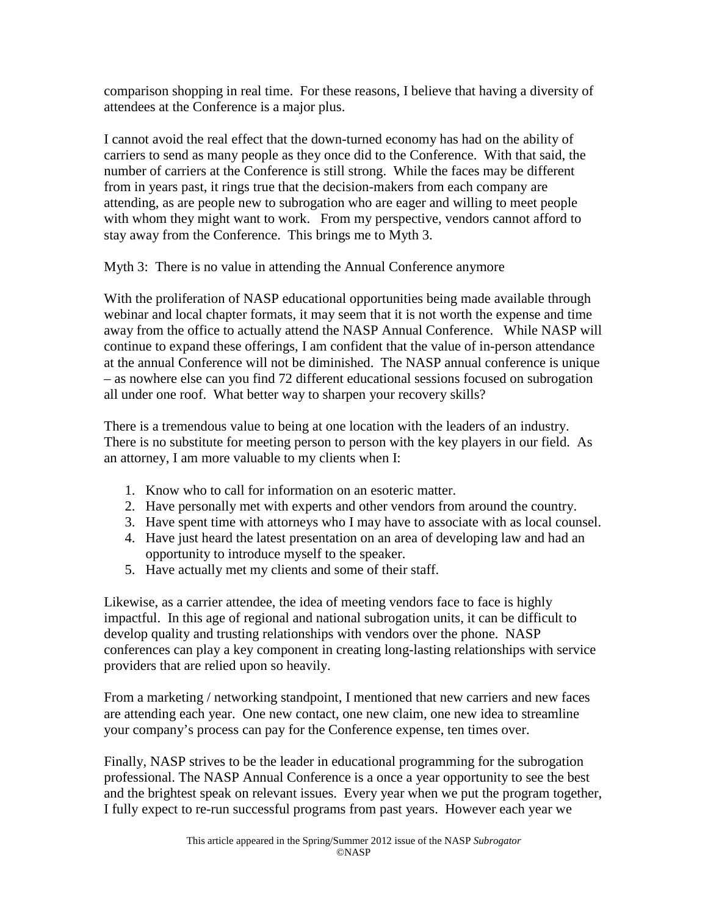comparison shopping in real time. For these reasons, I believe that having a diversity of attendees at the Conference is a major plus.

I cannot avoid the real effect that the down-turned economy has had on the ability of carriers to send as many people as they once did to the Conference. With that said, the number of carriers at the Conference is still strong. While the faces may be different from in years past, it rings true that the decision-makers from each company are attending, as are people new to subrogation who are eager and willing to meet people with whom they might want to work. From my perspective, vendors cannot afford to stay away from the Conference. This brings me to Myth 3.

Myth 3: There is no value in attending the Annual Conference anymore

With the proliferation of NASP educational opportunities being made available through webinar and local chapter formats, it may seem that it is not worth the expense and time away from the office to actually attend the NASP Annual Conference. While NASP will continue to expand these offerings, I am confident that the value of in-person attendance at the annual Conference will not be diminished. The NASP annual conference is unique – as nowhere else can you find 72 different educational sessions focused on subrogation all under one roof. What better way to sharpen your recovery skills?

There is a tremendous value to being at one location with the leaders of an industry. There is no substitute for meeting person to person with the key players in our field. As an attorney, I am more valuable to my clients when I:

- 1. Know who to call for information on an esoteric matter.
- 2. Have personally met with experts and other vendors from around the country.
- 3. Have spent time with attorneys who I may have to associate with as local counsel.
- 4. Have just heard the latest presentation on an area of developing law and had an opportunity to introduce myself to the speaker.
- 5. Have actually met my clients and some of their staff.

Likewise, as a carrier attendee, the idea of meeting vendors face to face is highly impactful. In this age of regional and national subrogation units, it can be difficult to develop quality and trusting relationships with vendors over the phone. NASP conferences can play a key component in creating long-lasting relationships with service providers that are relied upon so heavily.

From a marketing / networking standpoint, I mentioned that new carriers and new faces are attending each year. One new contact, one new claim, one new idea to streamline your company's process can pay for the Conference expense, ten times over.

Finally, NASP strives to be the leader in educational programming for the subrogation professional. The NASP Annual Conference is a once a year opportunity to see the best and the brightest speak on relevant issues. Every year when we put the program together, I fully expect to re-run successful programs from past years. However each year we